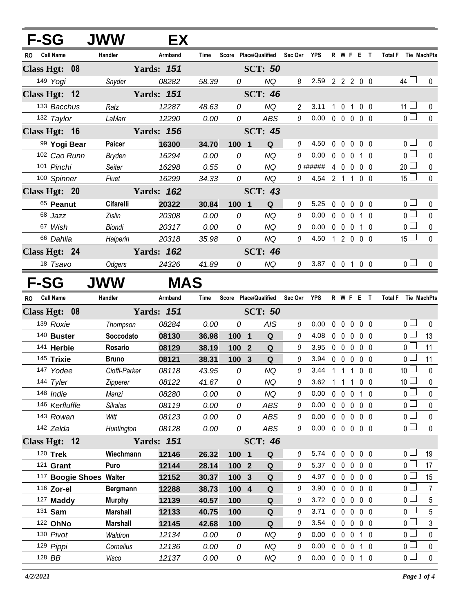| <b>F-SG</b>     |                     | <b>JWW</b>                         | EX                |              |         |                       |                 |                |                |             |                |                                |                   |                |                                  |                          |
|-----------------|---------------------|------------------------------------|-------------------|--------------|---------|-----------------------|-----------------|----------------|----------------|-------------|----------------|--------------------------------|-------------------|----------------|----------------------------------|--------------------------|
| RO              | <b>Call Name</b>    | Handler                            | Armband           | Time         |         | Score Place/Qualified |                 | Sec Ovr        | <b>YPS</b>     |             |                | R W F E T                      |                   |                | Total F Tie MachPts              |                          |
| Class Hgt: 08   |                     |                                    | <b>Yards: 151</b> |              |         | <b>SCT: 50</b>        |                 |                |                |             |                |                                |                   |                |                                  |                          |
|                 | 149 Yogi            | Snyder                             | 08282             | 58.39        | 0       |                       | <b>NQ</b>       | 8              | 2.59 2 2 2 0 0 |             |                |                                |                   |                | 44 $\Box$                        | 0                        |
| Class Hgt: 12   |                     |                                    | <b>Yards: 151</b> |              |         | <b>SCT: 46</b>        |                 |                |                |             |                |                                |                   |                |                                  |                          |
|                 | 133 Bacchus         | Ratz                               | 12287             | 48.63        | 0       |                       | <b>NQ</b>       | $\overline{2}$ | 3.11           |             | $1\quad0$      | $\overline{1}$                 |                   | 0 <sub>0</sub> | 11 $\Box$                        | 0                        |
|                 | 132 Taylor          | LaMarr                             | 12290             | 0.00         | 0       |                       | <b>ABS</b>      | 0              | 0.00           |             |                | 00000                          |                   |                | 0 <sup>1</sup>                   | $\pmb{0}$                |
| Class Hgt: 16   |                     |                                    | <b>Yards: 156</b> |              |         | <b>SCT: 45</b>        |                 |                |                |             |                |                                |                   |                |                                  |                          |
|                 | 99 Yogi Bear        | Paicer                             | 16300             | 34.70        | 100 1   |                       | Q               | 0              | 4.50           |             | $0\quad 0$     |                                | $0\quad 0\quad 0$ |                | 0 <sub>0</sub>                   | 0                        |
|                 | 102 Cao Runn        | Bryden                             | 16294             | 0.00         | 0       |                       | <b>NQ</b>       | 0              | 0.00           |             |                | $0\quad 0\quad 0$              |                   | 1 0            | 0 <sub>0</sub>                   | 0                        |
|                 | 101 Pinchi          | Seiter                             | 16298             | 0.55         | 0       |                       | <b>NQ</b>       |                |                |             |                | 4 0 0 0 0                      |                   |                | $20$ $\Box$                      | $\pmb{0}$                |
|                 | 100 Spinner         | Fluet                              | 16299             | 34.33        | 0       |                       | NQ              | $\theta$       | 4.54 2 1 1 0 0 |             |                |                                |                   |                | $15 \Box$                        | $\mathbf 0$              |
| Class Hgt: 20   |                     |                                    | <b>Yards: 162</b> |              |         | <b>SCT: 43</b>        |                 |                |                |             |                |                                |                   |                |                                  |                          |
|                 | 65 Peanut           | Cifarelli                          | 20322             | 30.84        | 100 1   |                       | Q               | 0              | 5.25           | 0           | $\overline{0}$ |                                | $0\quad 0\quad 0$ |                | 0 <sub>0</sub>                   | 0                        |
|                 | 68 Jazz             | Zislin                             | 20308             | 0.00         | 0       |                       | <b>NQ</b>       | 0              | 0.00           |             | $0\quad 0$     | $\mathbf 0$                    |                   | 1 0            | $\overline{0}$                   | $\mathbf 0$              |
|                 | 67 Wish             | Biondi                             | 20317             | 0.00         | 0       |                       | <b>NQ</b>       | 0              | 0.00           |             |                | 0 0 0 1 0                      |                   |                | 0 <sub>0</sub>                   | $\pmb{0}$                |
|                 | 66 Dahlia           | Halperin                           | 20318             | 35.98        | 0       |                       | NQ              | $\theta$       | 4.50           |             |                | 1 2 0 0 0                      |                   |                | 15 <sup>L</sup>                  | $\mathbf 0$              |
| Class Hgt: 24   |                     |                                    | <b>Yards: 162</b> |              |         | <b>SCT: 46</b>        |                 |                |                |             |                |                                |                   |                |                                  |                          |
|                 | 18 Tsavo            | Odgers                             | 24326             | 41.89        | 0       |                       | NQ              | 0              | 3.87 0 0 1 0 0 |             |                |                                |                   |                | 0 <sub>0</sub>                   | $\mathbf{0}$             |
| F-SG            |                     | JWW                                | <b>MAS</b>        |              |         |                       |                 |                |                |             |                |                                |                   |                |                                  |                          |
| <b>RO</b>       | <b>Call Name</b>    | Handler                            | Armband           | Time         |         | Score Place/Qualified |                 | Sec Ovr        | YPS            |             |                | <b>R W F E T</b>               |                   |                | <b>Total F</b><br>Tie MachPts    |                          |
| Class Hgt: 08   |                     |                                    | <b>Yards: 151</b> |              |         | <b>SCT: 50</b>        |                 |                |                |             |                |                                |                   |                |                                  |                          |
|                 | 139 Roxie           | Thompson                           | 08284             | 0.00         | 0       |                       | <b>AIS</b>      | 0              | 0.00           | $\mathbf 0$ | $\mathbf 0$    |                                | $0\quad 0\quad 0$ |                | 0 <sub>0</sub>                   | 0                        |
|                 | 140 Buster          | Soccodato                          | 08130             | 36.98        | 100 1   |                       | Q               | 0              | 4.08           |             | $0\quad 0$     | $\mathbf 0$                    |                   | 0 <sub>0</sub> | 0 <sub>1</sub>                   | 13                       |
|                 | 141 Herbie          | Rosario                            | 08129             | 38.19        | 100 2   |                       | Q               | 0              | 3.95           |             |                | $0\quad 0\quad 0$              | $0\quad 0$        |                | 0 <sub>0</sub>                   | 11                       |
|                 | 145 Trixie          | <b>Bruno</b>                       | 08121             | 38.31        | 100 3   |                       | ${\bf Q}$       | 0              | 3.94           |             | $0\quad 0$     | $\mathbf{0}$                   | $0\quad 0$        |                | 0 <sub>1</sub>                   | 11                       |
|                 | 147 Yodee           | Cioffi-Parker                      | 08118             | 43.95        | 0       |                       | <b>NQ</b>       | 0              | 3.44           | $1\quad1$   |                | $\mathbf{1}$                   |                   | 0 <sub>0</sub> | 10 <sup>1</sup>                  | $\mathbf 0$              |
|                 | 144 Tyler           | Zipperer                           | 08122             | 41.67        | 0       |                       | NQ              | 0              | 3.62           |             | $1\quad1$      |                                | 1 0 0             |                | 10 <sup>1</sup>                  | 0                        |
|                 | 148 Indie           | Manzi                              | 08280             | 0.00         | 0       |                       | NQ              | 0              | 0.00           |             | $0\quad 0$     | $\mathbf 0$                    |                   | 10             | 0 <sub>1</sub>                   | 0                        |
|                 | 146 Kerfluffle      | <b>Sikalas</b>                     | 08119             | 0.00         | 0       |                       | <b>ABS</b>      | 0              | 0.00           |             | $0\quad 0$     |                                | $0\quad 0\quad 0$ |                | 0 l                              | 0                        |
|                 | 143 Rowan           | Witt                               | 08123             | 0.00         | 0       |                       | <b>ABS</b>      | 0              | 0.00           |             | $0\quad 0$     | $\mathbf 0$                    | $0\quad 0$        |                | 0 <sub>1</sub>                   | $\pmb{0}$                |
|                 | 142 Zelda           | Huntington                         | 08128             | 0.00         | 0       |                       | ABS             | 0              | 0.00           |             |                | 00000                          |                   |                | 0 <sub>0</sub>                   | 0                        |
| Class Hgt: $12$ |                     |                                    | <b>Yards: 151</b> |              |         | <b>SCT: 46</b>        |                 |                |                |             |                |                                |                   |                |                                  |                          |
|                 | 120 Trek            | Wiechmann                          | 12146             | 26.32        | 100 1   |                       | Q               | 0              | 5.74           |             | $0\quad 0$     | $\mathbf 0$                    | $0\quad 0$        |                | 0 <sub>0</sub>                   | 19                       |
|                 | $121$ Grant         | Puro                               | 12144             | 28.14        | 100 2   |                       | Q               | 0              | 5.37           |             | $0\quad 0$     | $\mathbf 0$                    |                   | $0\quad 0$     | 0 <sub>0</sub>                   | 17                       |
|                 |                     | <sup>117</sup> Boogie Shoes Walter | 12152             | 30.37        | 100 3   |                       | Q               | 0              | 4.97           |             | $0\quad 0$     | $\mathbf 0$                    | $0\quad 0$        |                | 0 <sub>1</sub>                   | 15                       |
|                 | 116 Zor-el          | <b>Bergmann</b>                    | 12288             | 38.73        | $100$ 4 |                       | Q               | 0              | 3.90           |             | $0\quad 0$     | $\mathbf 0$                    | $0\quad 0$        |                | 0 <sub>0</sub>                   | 7                        |
|                 | 127 Maddy           | <b>Murphy</b>                      | 12139             | 40.57        | 100     |                       | Q               | 0              | 3.72           |             | $0\quad 0$     | $\mathbf 0$                    | $0\quad 0$        |                | 0 <sub>1</sub>                   | 5                        |
|                 | 131 <b>Sam</b>      |                                    |                   |              |         |                       | Q               | 0              | 3.71           |             | $0\quad 0$     | $\mathbf 0$                    |                   | $0\quad 0$     | 0 <sub>0</sub>                   | 5                        |
|                 |                     | <b>Marshall</b>                    | 12133             | 40.75        | 100     |                       |                 |                |                |             |                |                                |                   |                |                                  |                          |
|                 | 122 OhNo            | <b>Marshall</b>                    | 12145             | 42.68        | 100     |                       | Q               | 0              | 3.54           |             | $0\quad 0$     |                                | $0\quad 0\quad 0$ |                | 0 <sub>0</sub>                   | 3                        |
|                 | 130 Pivot           | Waldron                            | 12134             | 0.00         | 0       |                       | NQ              | 0              | 0.00           |             | $0\quad 0$     | $\mathbf 0$                    |                   | 10             | 0 <sub>0</sub>                   | 0                        |
|                 | 129 Pippi<br>128 BB | Cornelius<br>Visco                 | 12136<br>12137    | 0.00<br>0.00 | 0<br>0  |                       | <b>NQ</b><br>NQ | 0<br>0         | 0.00<br>0.00   |             |                | $0\quad 0\quad 0$<br>0 0 0 1 0 | 1 0               |                | 0 <sup>1</sup><br>$\overline{0}$ | $\mathbf 0$<br>$\pmb{0}$ |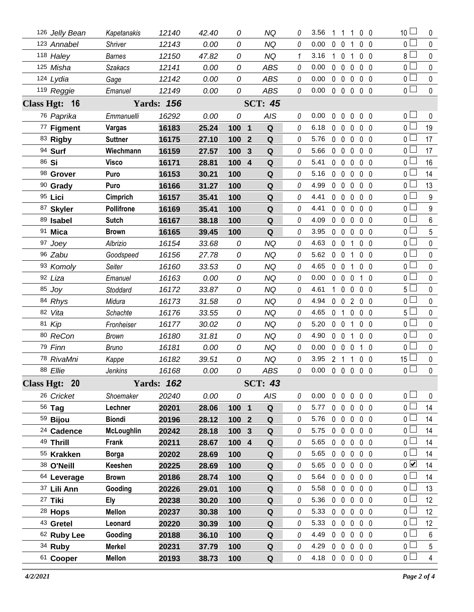| 126 Jelly Bean         | Kapetanakis       | 12140             | 42.40 | 0             |                  | NQ             | 0 | 3.56           |                | 11                | $\mathbf{1}$   | 0 <sub>0</sub> |    | 10 <sub>1</sub> | 0              |
|------------------------|-------------------|-------------------|-------|---------------|------------------|----------------|---|----------------|----------------|-------------------|----------------|----------------|----|-----------------|----------------|
| 123 Annabel            | Shriver           | 12143             | 0.00  | 0             |                  | <b>NQ</b>      | 0 | 0.00           | $0\quad 0$     |                   | 1              | 0 <sub>0</sub> |    | 0 <sub>0</sub>  | $\pmb{0}$      |
| 118 Haley              | <b>Barnes</b>     | 12150             | 47.82 | 0             |                  | <b>NQ</b>      | 1 | 3.16           | 1.             | $\overline{0}$    | 1              | $0\quad 0$     |    | 8 L             | 0              |
| 125 Misha              | <b>Szakacs</b>    | 12141             | 0.00  | 0             |                  | <b>ABS</b>     | 0 | 0.00           |                | $0\quad 0$        | $\mathbf 0$    | 0 <sub>0</sub> |    | 0 L             | $\pmb{0}$      |
| 124 Lydia              | Gage              | 12142             | 0.00  | 0             |                  | <b>ABS</b>     | 0 | 0.00           | $0\quad 0$     |                   | $\mathbf 0$    | 0 <sub>0</sub> |    | 0 L             | 0              |
| 119 Reggie             | Emanuel           | 12149             | 0.00  | 0             |                  | <b>ABS</b>     | 0 | 0.00           |                | $0\quad 0\quad 0$ |                | 0 <sub>0</sub> |    | 0 <sub>1</sub>  | $\mathbf 0$    |
| Class Hgt: 16          |                   | <b>Yards: 156</b> |       |               |                  | <b>SCT: 45</b> |   |                |                |                   |                |                |    |                 |                |
| 76 Paprika             | Emmanuelli        | 16292             | 0.00  | 0             |                  | <b>AIS</b>     | 0 | 0.00           | $\mathbf 0$    | $\mathbf 0$       | 0              | $0\quad 0$     |    | 0 <sub>0</sub>  | 0              |
| 77 Figment             | Vargas            | 16183             | 25.24 | 100 1         |                  | ${\bf Q}$      | 0 | 6.18           |                | $0\quad 0$        | $\mathbf 0$    | 0 <sub>0</sub> |    | 0 <sub>0</sub>  | 19             |
| 83 Rigby               | <b>Suttner</b>    | 16175             | 27.10 | 100           | $\overline{2}$   | $\mathbf Q$    | 0 | 5.76           | $0\quad 0$     |                   | $\mathbf 0$    | $0\quad 0$     |    | 0 l             | 17             |
| 94 Surf                | Wiechmann         | 16159             | 27.57 | 100           | $\mathbf{3}$     | Q              | 0 | 5.66           | $0\quad 0$     |                   | $\mathbf 0$    | $0\quad 0$     |    | 0 <sub>0</sub>  | 17             |
| 86 Si                  | Visco             | 16171             | 28.81 | 100           | $\boldsymbol{4}$ | Q              | 0 | 5.41           |                | $0\quad 0$        | 0              | 0 <sub>0</sub> |    | 0 <sub>0</sub>  | 16             |
| 98 Grover              | Puro              | 16153             | 30.21 | 100           |                  | Q              | 0 | 5.16           | $\mathbf 0$    | $\mathbf 0$       | $\mathbf 0$    | 0 <sub>0</sub> |    | 0 <sub>0</sub>  | 14             |
| 90 Grady               | Puro              | 16166             | 31.27 | 100           |                  | Q              | 0 | 4.99           | $0\quad 0$     |                   | 0              | $0\quad 0$     |    | 0 L             | 13             |
| 95 Lici                | Cimprich          | 16157             | 35.41 | 100           |                  | Q              | 0 | 4.41           | $\mathbf{0}$   | $\mathbf 0$       | $\mathbf 0$    | 0 <sub>0</sub> |    | 0 <sub>0</sub>  | 9              |
| 87 Skyler              | <b>Pollifrone</b> | 16169             | 35.41 | 100           |                  | Q              | 0 | 4.41           |                | $0\quad 0$        | $\mathbf{0}$   | 0 <sub>0</sub> |    | 0 <sub>0</sub>  | 9              |
| 89 Isabel              | <b>Sutch</b>      | 16167             | 38.18 | 100           |                  | ${\bf Q}$      | 0 | 4.09           | 0              | $\mathbf 0$       | $\mathbf 0$    | 0 <sub>0</sub> |    | 0 <sub>0</sub>  | 6              |
| 91 Mica                | <b>Brown</b>      | 16165             | 39.45 | 100           |                  | Q              | 0 | 3.95           |                | $0\quad 0$        | 0              | $0\quad 0$     |    | ΟL              | 5              |
| 97 Joey                | Albrizio          | 16154             | 33.68 | 0             |                  | <b>NQ</b>      | 0 | 4.63           | $0\quad 0$     |                   | $\mathbf{1}$   | $0\quad 0$     |    | 0 <sub>0</sub>  | 0              |
| 96 Zabu                | Goodspeed         | 16156             | 27.78 | 0             |                  | <b>NQ</b>      | 0 | 5.62           | $0\quad 0$     |                   | 1              | $0\quad 0$     |    | 0 <sub>0</sub>  | 0              |
| 93 Komoly              | Seiter            | 16160             | 33.53 | 0             |                  | <b>NQ</b>      | 0 | 4.65           | $0\quad 0$     |                   | $\mathbf{1}$   | 0 <sub>0</sub> |    | 0 <sub>0</sub>  | 0              |
| 92 Liza                | Emanuel           | 16163             | 0.00  | 0             |                  | <b>NQ</b>      | 0 | 0.00           | $\mathbf 0$    | $\mathbf 0$       | $\mathbf 0$    | 1              | -0 | 0 <sub>0</sub>  | 0              |
| 85 Joy                 | Stoddard          | 16172             | 33.87 | 0             |                  | <b>NQ</b>      | 0 | 4.61           | 1.             | $\mathbf 0$       | $\mathbf 0$    | $0\quad 0$     |    | 5 L             | 0              |
| 84 Rhys                | Midura            | 16173             | 31.58 | 0             |                  | <b>NQ</b>      | 0 | 4.94           |                | $0\quad 0$        | $\overline{2}$ | $0\quad 0$     |    | 0 <sub>0</sub>  | 0              |
| 82 Vita                | Schachte          | 16176             | 33.55 | 0             |                  | <b>NQ</b>      | 0 | 4.65           | $\mathbf 0$    | $\overline{1}$    | $\mathbf 0$    | 0 <sub>0</sub> |    | $5 \perp$       | 0              |
| 81 Kip                 | Fronheiser        | 16177             | 30.02 | 0             |                  | <b>NQ</b>      | 0 | 5.20           | $0\quad 0$     |                   | $\mathbf{1}$   | $0\quad 0$     |    | $0-$            | 0              |
| 80 ReCon               | Brown             | 16180             | 31.81 | 0             |                  | <b>NQ</b>      | 0 | 4.90           | $0\quad 0$     |                   | 1              | 0 <sub>0</sub> |    | 0 <sub>0</sub>  | 0              |
| 79 Finn                | Bruno             | 16181             | 0.00  | 0             |                  | NQ             | 0 | 0.00           |                | $0\quad 0$        | $\overline{0}$ | $\mathbf{1}$   | -0 | 0 L             | 0              |
| 78 RivaMni             | Kappe             | 16182             | 39.51 | 0             |                  | <b>NQ</b>      | 0 | 3.95           | 2 <sub>1</sub> |                   | $\mathbf{1}$   | 0 <sub>0</sub> |    | 15 <sup>L</sup> | 0              |
| 88 Ellie               | Jenkins           | 16168             | 0.00  | 0             |                  | <b>ABS</b>     | 0 | 0.00           |                | $0\quad 0\quad 0$ |                | 0 <sub>0</sub> |    | 0               | 0              |
| Class Hgt: 20          |                   | <b>Yards: 162</b> |       |               |                  | <b>SCT: 43</b> |   |                |                |                   |                |                |    |                 |                |
| 26 Cricket             | Shoemaker         | 20240             | 0.00  | 0             |                  | <b>AIS</b>     | 0 | 0.00           |                | $0\quad 0$        | $\pmb{0}$      | 0 <sub>0</sub> |    | 0 <sub>0</sub>  | $\mathbf 0$    |
| 56 Tag                 | Lechner           | 20201             | 28.06 | 100 1         |                  | Q              | 0 | 5.77           |                | $0\quad 0$        | 0              | 0 <sub>0</sub> |    | 0 <sub>0</sub>  | 14             |
| 59 Bijou               | <b>Biondi</b>     | 20196             | 28.12 | $1002$        |                  | $\mathbf Q$    | 0 | 5.76           |                | $0\quad 0$        | $\overline{0}$ | $0\quad 0$     |    | 0 L             | 14             |
| <sup>24</sup> Cadence  | <b>McLoughlin</b> | 20242             | 28.18 | 100 3         |                  | Q              | 0 | 5.75           |                | $0\quad 0$        | $\mathbf 0$    | $0\quad 0$     |    | 0 L             | 14             |
| 49 Thrill              | Frank             | 20211             | 28.67 | $100 \quad 4$ |                  | $\mathbf Q$    | 0 | 5.65           |                | $0\quad 0$        | $\overline{0}$ | 0 <sub>0</sub> |    | 0 <sub>0</sub>  | 14             |
| 55 Krakken             | <b>Borga</b>      | 20202             | 28.69 | 100           |                  | Q              | 0 | 5.65           |                | $0\quad 0$        | $\mathbf 0$    | $0\quad 0$     |    | $0 -$           | 14             |
| 38 O'Neill             | Keeshen           | 20225             | 28.69 | 100           |                  | Q              | 0 | 5.65           |                | $0\quad 0$        | $\mathbf 0$    | 0 <sub>0</sub> |    | $\overline{0}$  | 14             |
| <sup>64</sup> Leverage | <b>Brown</b>      | 20186             | 28.74 | 100           |                  | Q              | 0 | 5.64           |                | $0\quad 0$        | $\mathbf 0$    | $0\quad 0$     |    | 0 ∟             | 14             |
| 37 Lili Ann            | Gooding           | 20226             | 29.01 | 100           |                  | Q              | 0 | 5.58           |                | $0\quad 0$        | $\overline{0}$ | 0 <sub>0</sub> |    | 0 <sub>l</sub>  | 13             |
| 27 Tiki                | <b>Ely</b>        | 20238             | 30.20 | 100           |                  | Q              | 0 | 5.36           |                | $0\quad 0$        | 0              | 0 <sub>0</sub> |    | 0 <sub>0</sub>  | 12             |
| <sup>28</sup> Hops     | <b>Mellon</b>     | 20237             | 30.38 | 100           |                  | Q              | 0 | 5.33           |                | $0\quad 0$        | $\overline{0}$ | 0 <sub>0</sub> |    | 0 <sub>0</sub>  | 12             |
| 43 Gretel              | Leonard           | 20220             | 30.39 | 100           |                  | Q              | 0 | 5.33           |                | $0\quad 0$        | $\mathbf 0$    | $0\quad 0$     |    | 0 L             | 12             |
| 62 Ruby Lee            | Gooding           | 20188             | 36.10 | 100           |                  | Q              | 0 | 4.49           |                | $0\quad 0$        | $\overline{0}$ | 0 <sub>0</sub> |    | 0 l             | 6              |
| 34 Ruby                | <b>Merkel</b>     | 20231             | 37.79 | 100           |                  | Q              | 0 | 4.29           |                | $0\quad 0$        | $\mathbf 0$    | 0 <sub>0</sub> |    | $0-$            | 5              |
| 61 Cooper              | <b>Mellon</b>     | 20193             | 38.73 | 100           |                  | $\mathbf Q$    | 0 | 4.18 0 0 0 0 0 |                |                   |                |                |    | 0 <sub>0</sub>  | $\overline{4}$ |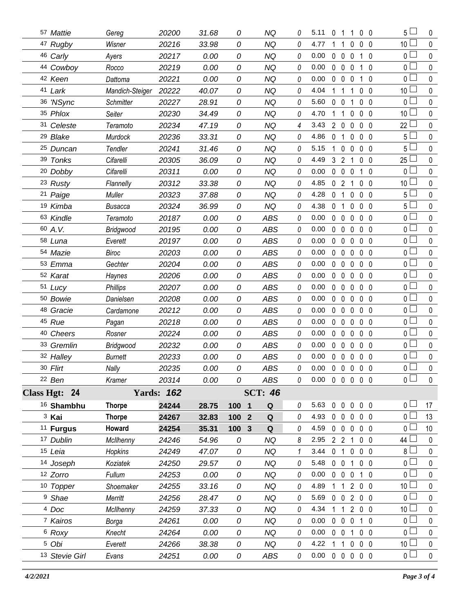| 57 Mattie             | Gereg           | 20200             | 31.68 | 0                     | NQ         | 0 | 5.11                       | 0              | -1                | 1                 | 0 <sub>0</sub> |                | $5\Box$         | 0           |
|-----------------------|-----------------|-------------------|-------|-----------------------|------------|---|----------------------------|----------------|-------------------|-------------------|----------------|----------------|-----------------|-------------|
| 47 Rugby              | Wisner          | 20216             | 33.98 | 0                     | <b>NQ</b>  | 0 | 4.77                       |                | -1                | 0                 | $\mathbf 0$    | 0              | 10              | $\mathbf 0$ |
| 46 Carly              | Ayers           | 20217             | 0.00  | 0                     | <b>NQ</b>  | 0 | 0.00                       | $\mathbf 0$    | $\overline{0}$    | 0                 | $\mathbf{1}$   | $\overline{0}$ | 0 L             | $\mathbf 0$ |
| 44 Cowboy             | Rocco           | 20219             | 0.00  | 0                     | <b>NQ</b>  | 0 | 0.00                       | $\mathbf 0$    | $\overline{0}$    | $\mathbf 0$       | $1\quad0$      |                | $\overline{0}$  | $\pmb{0}$   |
| 42 Keen               | Dattoma         | 20221             | 0.00  | 0                     | <b>NQ</b>  | 0 | 0.00                       | 0              | $\mathbf 0$       | $\mathbf{0}$      | 1 <sub>0</sub> |                | 0 <sub>1</sub>  | 0           |
| 41 Lark               | Mandich-Steiger | 20222             | 40.07 | 0                     | <b>NQ</b>  | 0 | 4.04                       |                | 1                 |                   | 0              | $\mathbf 0$    | 10 <sup>1</sup> | $\pmb{0}$   |
| 36 'NSync             | Schmitter       | 20227             | 28.91 | 0                     | <b>NQ</b>  | 0 | 5.60                       | $\mathbf 0$    | $\overline{0}$    | 1                 | 0              | $\overline{0}$ | 0 <sub>l</sub>  | $\mathbf 0$ |
| 35 Phlox              | Seiter          | 20230             | 34.49 | 0                     | <b>NQ</b>  | 0 | 4.70                       | 1              | $\mathbf{1}$      | 0                 | $\mathbf 0$    | 0              | $\Box$<br>10    | $\pmb{0}$   |
| 31 Celeste            | Teramoto        | 20234             | 47.19 | 0                     | <b>NQ</b>  | 4 | 3.43                       | $\overline{2}$ | $\mathbf 0$       | 0                 | 0 <sub>0</sub> |                | 22              | 0           |
| <sup>29</sup> Blake   | Murdock         | 20236             | 33.31 | 0                     | <b>NQ</b>  | 0 | 4.86                       | 0              | 1                 | 0                 | $\mathbf 0$    | 0              | 5               | $\pmb{0}$   |
| 25 Duncan             | Tendler         | 20241             | 31.46 | 0                     | <b>NQ</b>  | 0 | 5.15                       | 1              | $\mathbf 0$       | 0                 | $\mathbf 0$    | $\overline{0}$ | 5 l             | $\mathbf 0$ |
| 39 Tonks              | Cifarelli       | 20305             | 36.09 | 0                     | <b>NQ</b>  | 0 | 4.49                       | 3              | $\overline{2}$    | 1                 | $\mathbf 0$    | $\overline{0}$ | 25              | $\pmb{0}$   |
| 20 Dobby              | Cifarelli       | 20311             | 0.00  | 0                     | <b>NQ</b>  | 0 | 0.00                       | $\mathbf 0$    | $\mathbf 0$       | $\mathbf{0}$      | $1\quad0$      |                | 0               | $\mathbf 0$ |
| 23 Rusty              | Flannelly       | 20312             | 33.38 | 0                     | <b>NQ</b>  | 0 | 4.85                       | 0              | $\overline{2}$    | 1                 | 0 <sub>0</sub> |                | 10              | $\pmb{0}$   |
| 21 Paige              | Muller          | 20323             | 37.88 | 0                     | <b>NQ</b>  | 0 | 4.28                       | 0              | $\mathbf{1}$      | 0                 | 0 <sub>0</sub> |                | 5 <sub>1</sub>  | $\mathbf 0$ |
| 19 Kimba              | <b>Busacca</b>  | 20324             | 36.99 | 0                     | <b>NQ</b>  | 0 | 4.38                       | 0              | $\mathbf{1}$      | 0                 | 0 <sub>0</sub> |                | 5 <sub>1</sub>  | $\mathbf 0$ |
| 63 Kindle             | Teramoto        | 20187             | 0.00  | 0                     | <b>ABS</b> | 0 | 0.00                       | $\mathbf 0$    | $\mathbf 0$       | $\mathbf{0}$      | 0 <sub>0</sub> |                | 0 <sub>0</sub>  | $\mathbf 0$ |
| 60 A.V.               | Bridgwood       | 20195             | 0.00  | 0                     | <b>ABS</b> | 0 | 0.00                       | 0              | $\mathbf 0$       | 0                 | 0 <sub>0</sub> |                | $\overline{0}$  | $\pmb{0}$   |
| 58 Luna               | Everett         | 20197             | 0.00  | 0                     | <b>ABS</b> | 0 | 0.00                       | $\mathbf 0$    | $\mathbf 0$       | $\mathbf{0}$      | 0 <sub>0</sub> |                | 0 l             | $\mathbf 0$ |
| 54 Mazie              | <b>Biroc</b>    | 20203             | 0.00  | 0                     | <b>ABS</b> | 0 | 0.00                       | $\mathbf 0$    | $\mathbf 0$       | $\pmb{0}$         | 0 <sub>0</sub> |                | $\overline{0}$  | $\mathbf 0$ |
| 53 Emma               | Gechter         | 20204             | 0.00  | 0                     | <b>ABS</b> | 0 | 0.00                       | $\mathbf 0$    | $\mathbf 0$       | $\mathbf{0}$      | 0 <sub>0</sub> |                | 0               | $\pmb{0}$   |
| 52 Karat              | Haynes          | 20206             | 0.00  | 0                     | <b>ABS</b> | 0 | 0.00                       | 0              | $\mathbf 0$       | 0                 | 0 <sub>0</sub> |                | $\overline{0}$  | $\pmb{0}$   |
| 51 Lucy               | <b>Phillips</b> | 20207             | 0.00  | 0                     | <b>ABS</b> | 0 | 0.00                       | $\mathbf 0$    | $\mathbf 0$       | $\mathbf{0}$      | 0 <sub>0</sub> |                | 0 <sub>1</sub>  | $\pmb{0}$   |
| 50 Bowie              | Danielsen       | 20208             | 0.00  | 0                     | <b>ABS</b> | 0 | 0.00                       | $\mathbf 0$    | $\mathbf 0$       | $\pmb{0}$         | 0 <sub>0</sub> |                | $\overline{0}$  | $\pmb{0}$   |
| 48 Gracie             | Cardamone       | 20212             | 0.00  | 0                     | <b>ABS</b> | 0 | 0.00                       | $\mathbf 0$    | $\mathbf 0$       | $\mathbf{0}$      | 0 <sub>0</sub> |                | 0 <sub>0</sub>  | $\pmb{0}$   |
| 45 Rue                | Pagan           | 20218             | 0.00  | 0                     | <b>ABS</b> | 0 | 0.00                       | 0              | $\mathbf 0$       | 0                 | 0 <sub>0</sub> |                | $\overline{0}$  | $\pmb{0}$   |
| 40 Cheers             | Rosner          | 20224             | 0.00  | 0                     | <b>ABS</b> | 0 | 0.00                       | $\mathbf{0}$   | $\mathbf 0$       | $\mathbf{0}$      | $\mathbf 0$    | $\overline{0}$ | 0 l             | $\mathbf 0$ |
| 33 Gremlin            | Bridgwood       | 20232             | 0.00  | 0                     | <b>ABS</b> | 0 | 0.00                       | $\mathbf 0$    | $\mathbf 0$       | $\pmb{0}$         | 0 <sub>0</sub> |                | $\overline{0}$  | $\pmb{0}$   |
| 32 Halley             | <b>Burnett</b>  | 20233             | 0.00  | 0                     | <b>ABS</b> | 0 | 0.00                       | $\mathbf 0$    | $\mathbf 0$       | $\mathbf{0}$      | 0 <sub>0</sub> |                | 0               | $\mathbf 0$ |
| 30 Flirt              | Nally           | 20235             | 0.00  | 0                     | <b>ABS</b> | 0 | 0.00                       | $\mathbf 0$    | $\mathbf 0$       | $\mathbf 0$       | $\mathbf 0$    | $\overline{0}$ | $\overline{0}$  | $\mathbf 0$ |
| 22 Ben                | Kramer          | 20314             | 0.00  | 0                     | ABS        | 0 | $0.00 \t0 \t0 \t0 \t0 \t0$ |                |                   |                   |                |                | $\overline{0}$  | $\mathbf 0$ |
| Class Hgt: 24         |                 | <b>Yards: 162</b> |       | <b>SCT: 46</b>        |            |   |                            |                |                   |                   |                |                |                 |             |
| <sup>16</sup> Shambhu | <b>Thorpe</b>   | 24244             | 28.75 | 100 1                 | Q          | 0 | 5.63                       |                | $0\quad 0$        | $\mathbf 0$       | 0 <sub>0</sub> |                | 0 <sub>1</sub>  | 17          |
| <sup>3</sup> Kai      | <b>Thorpe</b>   | 24267             | 32.83 | $\overline{2}$<br>100 | ${\bf Q}$  | 0 | 4.93                       |                | $0\quad 0$        | 0                 | 0 <sub>0</sub> |                | 0 <sub>1</sub>  | 13          |
| <sup>11</sup> Furgus  | Howard          | 24254             | 35.31 | $\mathbf{3}$<br>100   | Q          | 0 | 4.59                       |                | $0\quad 0\quad 0$ |                   | $0\quad 0$     |                | 0 <sub>l</sub>  | 10          |
| 17 Dublin             | McIlhenny       | 24246             | 54.96 | 0                     | <b>NQ</b>  | 8 | 2.95                       |                | 2 <sub>2</sub>    | 1                 | $0\quad 0$     |                | 44              | 0           |
| 15 Leia               | Hopkins         | 24249             | 47.07 | 0                     | <b>NQ</b>  | 1 | 3.44                       | 0 <sub>1</sub> |                   | $\mathbf 0$       | 0 <sub>0</sub> |                | $8+$            | $\pmb{0}$   |
| 14 Joseph             | Koziatek        | 24250             | 29.57 | 0                     | NQ         | 0 | 5.48                       | $0\quad 0$     |                   | 1                 | $0\quad 0$     |                | 0 L             | $\mathbf 0$ |
| 12 Zorro              | Fullum          | 24253             | 0.00  | 0                     | NQ         | 0 | 0.00                       |                | $0\quad 0\quad 0$ |                   | $1\quad0$      |                | 0 <sub>1</sub>  | $\pmb{0}$   |
| 10 Topper             | Shoemaker       | 24255             | 33.16 | 0                     | <b>NQ</b>  | 0 | 4.89                       |                | $1\quad1$         | 200               |                |                | 10 <sup>°</sup> | 0           |
| <sup>9</sup> Shae     | Merritt         | 24256             | 28.47 | 0                     | <b>NQ</b>  | 0 | 5.69                       |                |                   | 0 0 2 0 0         |                |                | 0 <sub>1</sub>  | $\pmb{0}$   |
| 4 Doc                 | McIlhenny       | 24259             | 37.33 | 0                     | NQ         | 0 | 4.34                       |                | $1\quad1$         | 200               |                |                | 10 <sup>1</sup> | $\mathbf 0$ |
| 7 Kairos              | Borga           | 24261             | 0.00  | 0                     | NQ         | 0 | 0.00                       |                | $0\quad 0\quad 0$ |                   | 1 0            |                | 0 <sub>1</sub>  | $\pmb{0}$   |
| <sup>6</sup> Roxy     | Knecht          | 24264             | 0.00  | 0                     | NQ         | 0 | 0.00                       |                | $0\quad 0$        | 1                 | $0\quad 0$     |                | 0 L             | $\mathbf 0$ |
| <sup>5</sup> Obi      | Everett         | 24266             | 38.38 | 0                     | NQ         | 0 | 4.22                       |                | $1\quad1$         | $0\quad 0\quad 0$ |                |                | 10 <sup>1</sup> | $\pmb{0}$   |
| 13 Stevie Girl        | Evans           | 24251             | 0.00  | 0                     | ABS        | 0 | $0.00 \t0 \t0 \t0 \t0 \t0$ |                |                   |                   |                |                | 0 <sub>0</sub>  | $\pmb{0}$   |
|                       |                 |                   |       |                       |            |   |                            |                |                   |                   |                |                |                 |             |